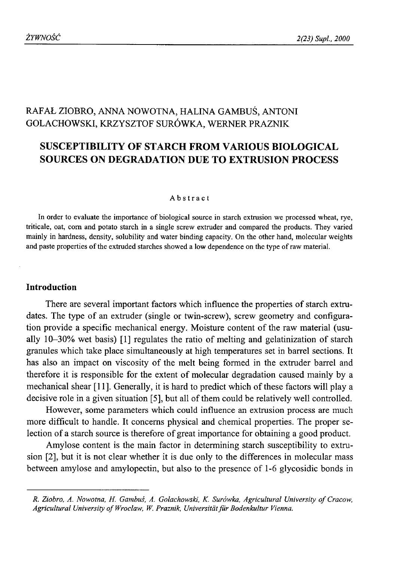# RAFAŁ ZIOBRO, ANNA NOWOTNA, HALINA GAMBUŚ, ANTONI GOLACHOWSKI, KRZYSZTOF SURÓWKA, WERNER PRAZNIK

# **SUSCEPTIBILITY OF STARCH FROM VARIOUS BIOLOGICAL SOURCES ON DEGRADATION DUE TO EXTRUSION PROCESS**

#### Abstract

In order to evaluate the importance of biological source in starch extrusion we processed wheat, rye, triticale, oat, com and potato starch in a single screw extruder and compared the products. They varied mainly in hardness, density, solubility and water binding capacity. On the other hand, molecular weights and paste properties of the extruded starches showed a low dependence on the type of raw material.

# **Introduction**

There are several important factors which influence the properties of starch extrudates. The type of an extruder (single or twin-screw), screw geometry and configuration provide a specific mechanical energy. Moisture content of the raw material (usually 10-30% wet basis) [1] regulates the ratio of melting and gelatinization of starch granules which take place simultaneously at high temperatures set in barrel sections. It has also an impact on viscosity of the melt being formed in the extruder barrel and therefore it is responsible for the extent of molecular degradation caused mainly by a mechanical shear [11]. Generally, it is hard to predict which of these factors will play a decisive role in a given situation [5], but all of them could be relatively well controlled.

However, some parameters which could influence an extrusion process are much more difficult to handle. It concerns physical and chemical properties. The proper selection of a starch source is therefore of great importance for obtaining a good product.

Amylose content is the main factor in determining starch susceptibility to extrusion [2], but it is not clear whether it is due only to the differences in molecular mass between amylose and amylopectin, but also to the presence of 1-6 glycosidic bonds in

 $R.$  Ziobro, A. Nowotna, H. Gambuś, A. Golachowski, K. Surówka, Agricultural University of Cracow, Agricultural University of Wroclaw, W. Praznik, Universität für Bodenkultur Vienna.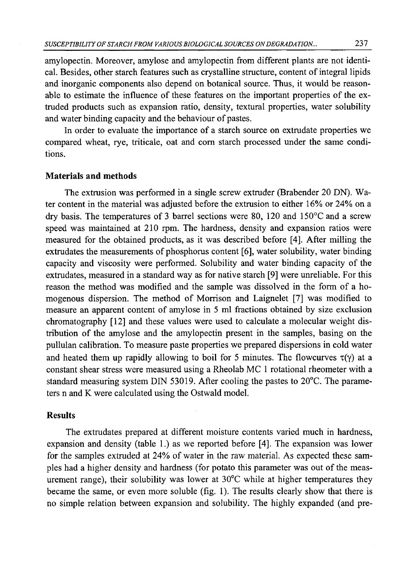amylopectin. Moreover, amylose and amylopectin from different plants are not identical. Besides, other starch features such as crystalline structure, content of integral lipids and inorganic components also depend on botanical source. Thus, it would be reasonable to estimate the influence of these features on the important properties of the extruded products such as expansion ratio, density, textural properties, water solubility and water binding capacity and the behaviour of pastes.

In order to evaluate the importance of a starch source on extrudate properties we compared wheat, rye, triticale, oat and com starch processed under the same conditions.

## **Materials and methods**

The extrusion was performed in a single screw extruder (Brabender 20 DN). Water content in the material was adjusted before the extrusion to either 16% or 24% on a dry basis. The temperatures of 3 barrel sections were 80, 120 and 150 $^{\circ}$ C and a screw speed was maintained at 210 rpm. The hardness, density and expansion ratios were measured for the obtained products, as it was described before [4]. After milling the extrudates the measurements of phosphorus content [6], water solubility, water binding capacity and viscosity were performed. Solubility and water binding capacity of the extmdates, measured in a standard way as for native starch [9] were unreliable. For this reason the method was modified and the sample was dissolved in the form of a homogenous dispersion. The method of Morrison and Laignelet [7] was modified to measure an apparent content of amylose in 5 ml fractions obtained by size exclusion chromatography [12] and these values were used to calculate a molecular weight distribution of the amylose and the amylopectin present in the samples, basing on the pullulan calibration. To measure paste properties we prepared dispersions in cold water and heated them up rapidly allowing to boil for 5 minutes. The flowcurves  $\tau(\gamma)$  at a constant shear stress were measured using a Rheolab MC 1 rotational rheometer with a standard measuring system DIN 53019. After cooling the pastes to 20°C. The parameters n and K were calculated using the Ostwald model.

## **Results**

The extrudates prepared at different moisture contents varied much in hardness, expansion and density (table 1.) as we reported before [4]. The expansion was lower for the samples extruded at 24% of water in the raw material. As expected these samples had a higher density and hardness (for potato this parameter was out of the measurement range), their solubility was lower at 30°C while at higher temperatures they became the same, or even more soluble (fig. 1). The results clearly show that there is no simple relation between expansion and solubility. The highly expanded (and pre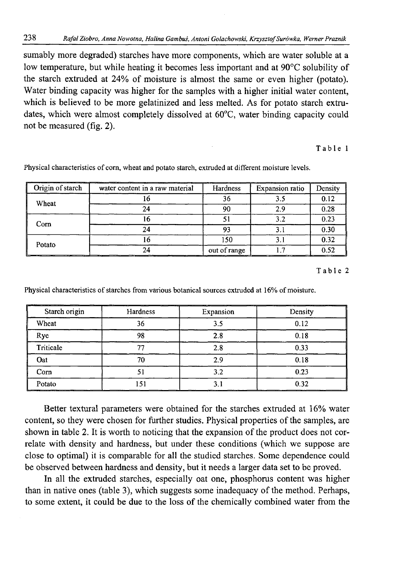sumably more degraded) starches have more components, which are water soluble at a low temperature, but while heating it becomes less important and at 90°C solubility of the starch extruded at 24% of moisture is almost the same or even higher (potato). Water binding capacity was higher for the samples with a higher initial water content, which is believed to be more gelatinized and less melted. As for potato starch extrudates, which were almost completely dissolved at 60°C, water binding capacity could not be measured (fig. 2).

Table 1

| Origin of starch | water content in a raw material | Hardness     | <b>Expansion ratio</b> | Density |
|------------------|---------------------------------|--------------|------------------------|---------|
| Wheat            |                                 | 36           |                        | 0.12    |
|                  | 24                              | 90           | ን ዓ                    | 0.28    |
| Corn             |                                 |              | 3.2                    | 0.23    |
|                  |                                 | 93           |                        | 0.30    |
| Potato           |                                 | 150          |                        | 0.32    |
|                  |                                 | out of range |                        | 0.52    |

Physical characteristics of com, wheat and potato starch, extruded at different moisture levels.

Table 2

Physical characteristics of starches from various botanical sources extruded at 16% of moisture.

| Starch origin | --<br>Hardness | Expansion | Density |
|---------------|----------------|-----------|---------|
| Wheat         | 36             | 3.5       | 0.12    |
| Rye           | 98             | 2.8       | 0.18    |
| Triticale     |                | 2.8       | 0.33    |
| Oat           | 70             | 2.9       | 0.18    |
| Corn          |                | 3.2       | 0.23    |
| Potato        | 151            | 3. I      | 0.32    |

Better textural parameters were obtained for the starches extruded at 16% water content, so they were chosen for further studies. Physical properties of the samples, are shown in table 2. It is worth to noticing that the expansion of the product does not correlate with density and hardness, but under these conditions (which we suppose are close to optimal) it is comparable for all the studied starches. Some dependence could be observed between hardness and density, but it needs a larger data set to be proved.

In all the extruded starches, especially oat one, phosphorus content was higher than in native ones (table 3), which suggests some inadequacy of the method. Perhaps, to some extent, it could be due to the loss of the chemically combined water from the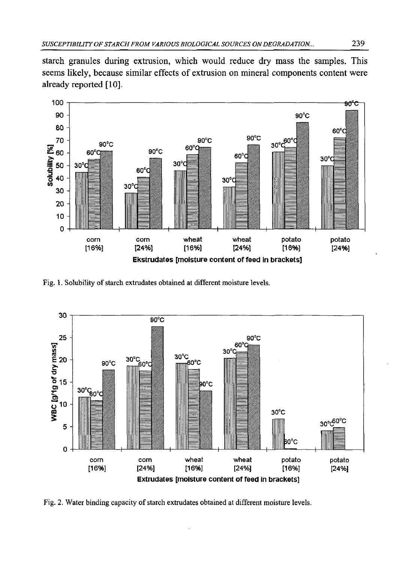starch granules during extrusion, which would reduce dry mass the samples. This seems likely, because similar effects of extrusion on mineral components content were already reported [10].



Fig. 1. Solubility of starch extrudates obtained at different moisture levels.



Fig. 2. Water binding capacity of starch extrudates obtained at different moisture levels.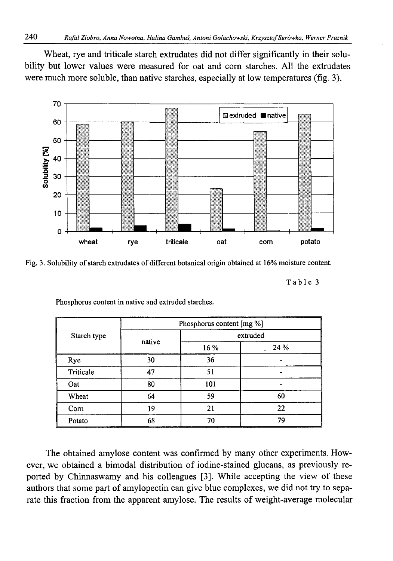Wheat, rye and triticale starch extrudates did not differ significantly in their solubility but lower values were measured for oat and com starches. All the extrudates were much more soluble, than native starches, especially at low temperatures (fig. 3).



Fig. 3. Solubility of starch extrudates of different botanical origin obtained at 16% moisture content.

Table 3

|             | Phosphorus content [mg %] |          |      |  |  |
|-------------|---------------------------|----------|------|--|--|
| Starch type | native                    | extruded |      |  |  |
|             |                           | 16 %     | 24 % |  |  |
| Rye         | 30                        | 36       |      |  |  |
| Triticale   | 47                        | 51       |      |  |  |
| Oat         | 80                        | 101      |      |  |  |
| Wheat       | 64                        | 59       | 60   |  |  |
| Corn        | 19                        | 21       | 22   |  |  |
| Potato      | 68                        | 70       | 79   |  |  |

Phosphorus content in native and extruded starches.

The obtained amylose content was confirmed by many other experiments. However, we obtained a bimodal distribution of iodine-stained glucans, as previously reported by Chinnaswamy and his colleagues [3]. While accepting the view of these authors that some part of amylopectin can give blue complexes, we did not try to separate this fraction from the apparent amylose. The results of weight-average molecular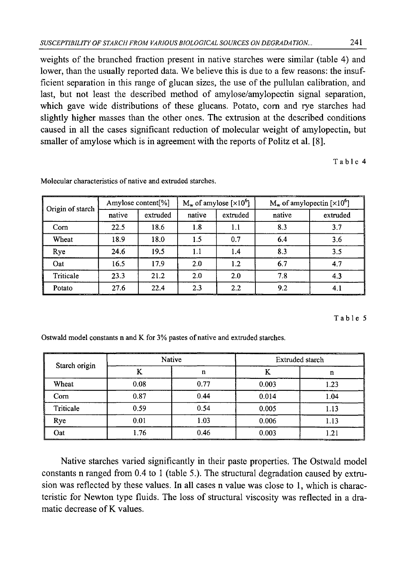weights of the branched fraction present in native starches were similar (table 4) and lower, than the usually reported data. We believe this is due to a few reasons: the insufficient separation in this range of glucan sizes, the use of the pullulan calibration, and last, but not least the described method of amylose/amylopectin signal separation, which gave wide distributions of these glucans. Potato, com and rye starches had slightly higher masses than the other ones. The extrusion at the described conditions caused in all the cases significant reduction of molecular weight of amylopectin, but smaller of amylose which is in agreement with the reports of Politz et al. [8].

Table 4

| Origin of starch | Amylose content [%] |          | $M_w$ of amylose [ $\times 10^6$ ] |          | $M_w$ of amylopectin [ $\times 10^6$ ] |          |
|------------------|---------------------|----------|------------------------------------|----------|----------------------------------------|----------|
|                  | native              | extruded | native                             | extruded | native                                 | extruded |
| Com              | 22.5                | 18.6     | 1.8                                | 1.1      | 8.3                                    | 3.7      |
| Wheat            | 18.9                | 18.0     | 1.5                                | 0.7      | 6.4                                    | 3.6      |
| Rye              | 24.6                | 19.5     | 1.1                                | 1.4      | 8.3                                    | 3.5      |
| Oat              | 16.5                | 17.9     | 2.0                                | 1.2      | 6.7                                    | 4.7      |
| Triticale        | 23.3                | 21.2     | 2.0                                | 2.0      | 7.8                                    | 4.3      |
| Potato           | 27.6                | 22.4     | 2.3                                | 2.2      | 9.2                                    | 4.1      |

Molecular characteristics of native and extruded starches.

#### Table 5

Ostwald model constants n and K for 3% pastes of native and extruded starches.

| Starch origin | Native |      | _______<br>Extruded starch |      |  |
|---------------|--------|------|----------------------------|------|--|
|               | V      | n    | А                          | n    |  |
| Wheat         | 0.08   | 0.77 | 0.003                      | 1.23 |  |
| Corn          | 0.87   | 0.44 | 0.014                      | 1.04 |  |
| Triticale     | 0.59   | 0.54 | 0.005                      | 1.13 |  |
| Rye           | 0.01   | 1.03 | 0.006                      | 1.13 |  |
| Oat           | 1.76   | 0.46 | 0.003                      | 1.21 |  |

Native starches varied significantly in their paste properties. The Ostwald model constants n ranged from 0.4 to 1 (table 5.). The structural degradation caused by extrusion was reflected by these values. In all cases n value was close to 1, which is characteristic for Newton type fluids. The loss of structural viscosity was reflected in a dramatic decrease of K values.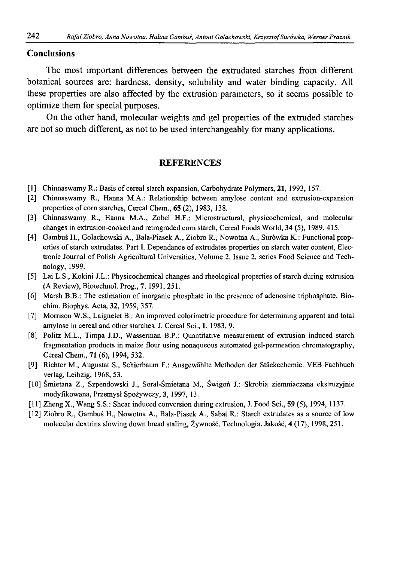## Conclusions

The most important differences between the extrudated starches from different botanical sources are: hardness, density, solubility and water binding capacity. All these properties are also affected by the extrusion parameters, so it seems possible to optimize them for special purposes.

On the other hand, molecular weights and gel properties of the extruded starches are not so much different, as not to be used interchangeably for many applications.

### **REFERENCES**

- [1] Chinnaswamy R.: Basis of cereal starch expansion, Carbohydrate Polymers, 21, 1993, 157.
- [2] Chinnaswamy R., Hanna M.A.: Relationship between amylose content and extrusion-expansion properties of corn starches, Cereal Chem., 65 (2), 1983, 138.
- [3] Chinnaswamy R., Hanna M.A., Zobel H.F.: Microstructural, physicochemical, and molecular changes in extrusion-cooked and retrograded com starch, Cereal Foods World, 34 (5), 1989,415.
- [4] Gambuś H., Golachowski A., Bala-Piasek A., Ziobro R., Nowotna A., Surówka K.: Functional properties of starch extrudates. Part I. Dependance of extrudates properties on starch water content, Electronic Journal of Polish Agricultural Universities, Volume 2, Issue 2, series Food Science and Technology, 1999.
- [5] Lai L.S., Kokini J.L.: Physicochemical changes and rheological properties of starch during extrusion (A Review), Biotechnol. Prog., 7, 1991, 251.
- [6] Marsh B.B.: The estimation of inorganic phosphate in the presence of adenosine triphosphate. Biochim. Biophys. Acta, 32, 1959, 357.
- [7] Morrison W.S., Laignelet B.: An improved colorimetric procedure for determining apparent and total amylose in cereal and other starches. J. Cereal Sci., 1, 1983, 9.
- [8] Politz M.L., Timpa J.D., Wasserman B.P.: Quantitative measurement of extrusion induced starch fragmentation products in maize flour using nonaqueous automated gel-permeation chromatography, Cereal Chem., 71 (6), 1994, 532.
- [9] Richter M., Augustat S., Schierbaum F.: Ausgewahlte Methoden der Staekechemie. VEB Fachbuch verlag, Leibzig, 1968, 53.
- [10] Śmietana Z., Szpendowski J., Soral-Śmietana M., Świgoń J.: Skrobia ziemniaczana ekstruzyjnie modyfikowana, Przemysł Spożywczy, 3, 1997, 13.
- [11] Zheng X., Wang S.S.: Shear induced conversion during extrusion, J. Food Sci., 59 (5), 1994, 1137.
- [12] Ziobro R., Gambuś H., Nowotna A., Bala-Piasek A., Sabat R.: Starch extrudates as a source of low molecular dextrins slowing down bread staling, Żywność. Technologia. Jakość, 4 (17), 1998, 251.